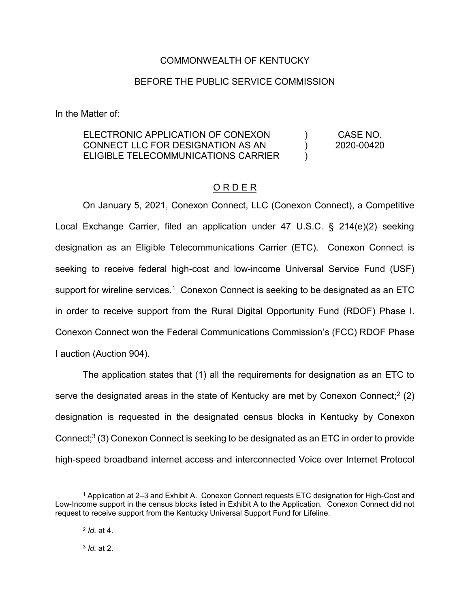# COMMONWEALTH OF KENTUCKY

## BEFORE THE PUBLIC SERVICE COMMISSION

In the Matter of:

#### ELECTRONIC APPLICATION OF CONEXON CONNECT LLC FOR DESIGNATION AS AN ELIGIBLE TELECOMMUNICATIONS CARRIER  $\mathcal{L}$  $\left( \right)$  $\lambda$ CASE NO. 2020-00420

# O R D E R

On January 5, 2021, Conexon Connect, LLC (Conexon Connect), a Competitive Local Exchange Carrier, filed an application under 47 U.S.C. § 214(e)(2) seeking designation as an Eligible Telecommunications Carrier (ETC). Conexon Connect is seeking to receive federal high-cost and low-income Universal Service Fund (USF) support for wireline services.<sup>1</sup> Conexon Connect is seeking to be designated as an ETC in order to receive support from the Rural Digital Opportunity Fund (RDOF) Phase I. Conexon Connect won the Federal Communications Commission's (FCC) RDOF Phase I auction (Auction 904).

The application states that (1) all the requirements for designation as an ETC to serve the designated areas in the state of Kentucky are met by Conexon Connect;<sup>2</sup> (2) designation is requested in the designated census blocks in Kentucky by Conexon Connect; <sup>3</sup> (3) Conexon Connect is seeking to be designated as an ETC in order to provide high-speed broadband internet access and interconnected Voice over Internet Protocol

 <sup>1</sup> Application at 2–3 and Exhibit A. Conexon Connect requests ETC designation for High-Cost and Low-Income support in the census blocks listed in Exhibit A to the Application. Conexon Connect did not request to receive support from the Kentucky Universal Support Fund for Lifeline.

<sup>2</sup> *Id.* at 4.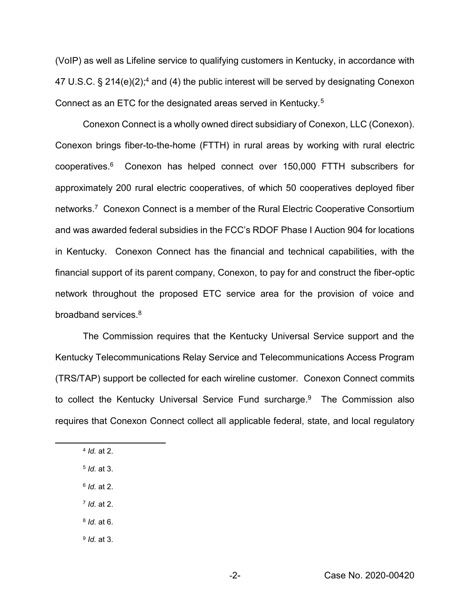(VoIP) as well as Lifeline service to qualifying customers in Kentucky, in accordance with 47 U.S.C. § 214(e)(2);<sup>4</sup> and (4) the public interest will be served by designating Conexon Connect as an ETC for the designated areas served in Kentucky.5

Conexon Connect is a wholly owned direct subsidiary of Conexon, LLC (Conexon). Conexon brings fiber-to-the-home (FTTH) in rural areas by working with rural electric cooperatives. <sup>6</sup> Conexon has helped connect over 150,000 FTTH subscribers for approximately 200 rural electric cooperatives, of which 50 cooperatives deployed fiber networks.7 Conexon Connect is a member of the Rural Electric Cooperative Consortium and was awarded federal subsidies in the FCC's RDOF Phase I Auction 904 for locations in Kentucky. Conexon Connect has the financial and technical capabilities, with the financial support of its parent company, Conexon, to pay for and construct the fiber-optic network throughout the proposed ETC service area for the provision of voice and broadband services.8

The Commission requires that the Kentucky Universal Service support and the Kentucky Telecommunications Relay Service and Telecommunications Access Program (TRS/TAP) support be collected for each wireline customer. Conexon Connect commits to collect the Kentucky Universal Service Fund surcharge. 9 The Commission also requires that Conexon Connect collect all applicable federal, state, and local regulatory

- <sup>6</sup> *Id.* at 2.
- <sup>7</sup> *Id.* at 2.
- <sup>8</sup> *Id.* at 6.
- <sup>9</sup> *Id.* at 3.

 <sup>4</sup> *Id.* at 2.

<sup>5</sup> *Id.* at 3.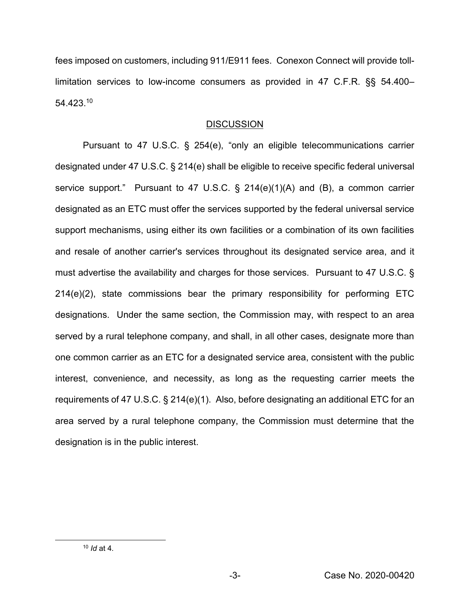fees imposed on customers, including 911/E911 fees. Conexon Connect will provide tolllimitation services to low-income consumers as provided in 47 C.F.R. §§ 54.400– 54.423.10

# **DISCUSSION**

Pursuant to 47 U.S.C. § 254(e), "only an eligible telecommunications carrier designated under 47 U.S.C. § 214(e) shall be eligible to receive specific federal universal service support." Pursuant to 47 U.S.C. § 214(e)(1)(A) and (B), a common carrier designated as an ETC must offer the services supported by the federal universal service support mechanisms, using either its own facilities or a combination of its own facilities and resale of another carrier's services throughout its designated service area, and it must advertise the availability and charges for those services. Pursuant to 47 U.S.C. § 214(e)(2), state commissions bear the primary responsibility for performing ETC designations. Under the same section, the Commission may, with respect to an area served by a rural telephone company, and shall, in all other cases, designate more than one common carrier as an ETC for a designated service area, consistent with the public interest, convenience, and necessity, as long as the requesting carrier meets the requirements of 47 U.S.C. § 214(e)(1). Also, before designating an additional ETC for an area served by a rural telephone company, the Commission must determine that the designation is in the public interest.

 <sup>10</sup> *Id* at 4*.*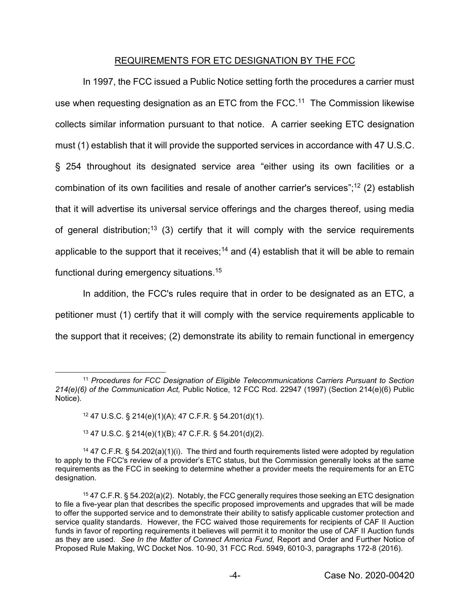## REQUIREMENTS FOR ETC DESIGNATION BY THE FCC

In 1997, the FCC issued a Public Notice setting forth the procedures a carrier must use when requesting designation as an ETC from the FCC.<sup>11</sup> The Commission likewise collects similar information pursuant to that notice. A carrier seeking ETC designation must (1) establish that it will provide the supported services in accordance with 47 U.S.C. § 254 throughout its designated service area "either using its own facilities or a combination of its own facilities and resale of another carrier's services";<sup>12</sup> (2) establish that it will advertise its universal service offerings and the charges thereof, using media of general distribution;<sup>13</sup> (3) certify that it will comply with the service requirements applicable to the support that it receives;<sup>14</sup> and (4) establish that it will be able to remain functional during emergency situations.15

In addition, the FCC's rules require that in order to be designated as an ETC, a petitioner must (1) certify that it will comply with the service requirements applicable to the support that it receives; (2) demonstrate its ability to remain functional in emergency

 <sup>11</sup> *Procedures for FCC Designation of Eligible Telecommunications Carriers Pursuant to Section 214(e)(6) of the Communication Act,* Public Notice, 12 FCC Rcd. 22947 (1997) (Section 214(e)(6) Public Notice).

<sup>12</sup> 47 U.S.C. § 214(e)(1)(A); 47 C.F.R. § 54.201(d)(1).

<sup>13</sup> 47 U.S.C. § 214(e)(1)(B); 47 C.F.R. § 54.201(d)(2).

<sup>&</sup>lt;sup>14</sup> 47 C.F.R. § 54.202(a)(1)(i). The third and fourth requirements listed were adopted by regulation to apply to the FCC's review of a provider's ETC status, but the Commission generally looks at the same requirements as the FCC in seeking to determine whether a provider meets the requirements for an ETC designation.

<sup>15</sup> 47 C.F.R. § 54.202(a)(2). Notably, the FCC generally requires those seeking an ETC designation to file a five-year plan that describes the specific proposed improvements and upgrades that will be made to offer the supported service and to demonstrate their ability to satisfy applicable customer protection and service quality standards. However, the FCC waived those requirements for recipients of CAF II Auction funds in favor of reporting requirements it believes will permit it to monitor the use of CAF II Auction funds as they are used. *See In the Matter of Connect America Fund,* Report and Order and Further Notice of Proposed Rule Making, WC Docket Nos. 10-90, 31 FCC Rcd. 5949, 6010-3, paragraphs 172-8 (2016).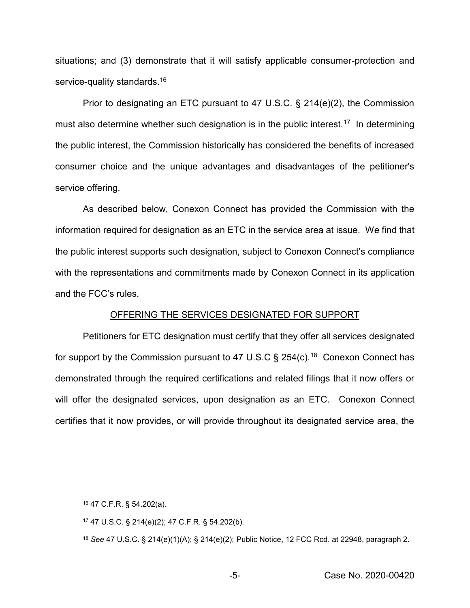situations; and (3) demonstrate that it will satisfy applicable consumer-protection and service-quality standards.<sup>16</sup>

Prior to designating an ETC pursuant to 47 U.S.C. § 214(e)(2), the Commission must also determine whether such designation is in the public interest.<sup>17</sup> In determining the public interest, the Commission historically has considered the benefits of increased consumer choice and the unique advantages and disadvantages of the petitioner's service offering.

As described below, Conexon Connect has provided the Commission with the information required for designation as an ETC in the service area at issue. We find that the public interest supports such designation, subject to Conexon Connect's compliance with the representations and commitments made by Conexon Connect in its application and the FCC's rules.

#### OFFERING THE SERVICES DESIGNATED FOR SUPPORT

Petitioners for ETC designation must certify that they offer all services designated for support by the Commission pursuant to 47 U.S.C  $\S$  254(c).<sup>18</sup> Conexon Connect has demonstrated through the required certifications and related filings that it now offers or will offer the designated services, upon designation as an ETC. Conexon Connect certifies that it now provides, or will provide throughout its designated service area, the

 <sup>16</sup> 47 C.F.R. § 54.202(a).

<sup>17</sup> 47 U.S.C. § 214(e)(2); 47 C.F.R. § 54.202(b).

<sup>18</sup> *See* 47 U.S.C. § 214(e)(1)(A); § 214(e)(2); Public Notice, 12 FCC Rcd. at 22948, paragraph 2.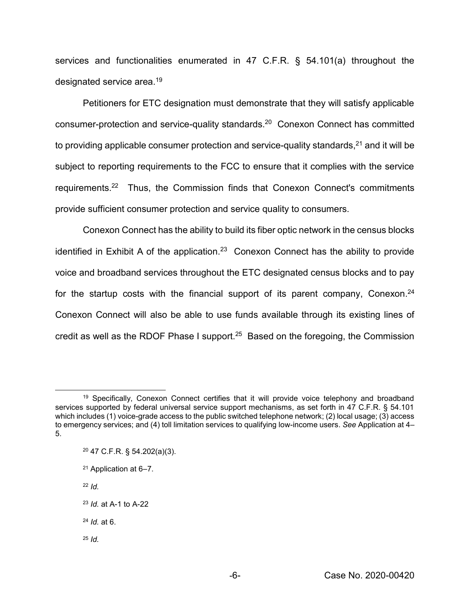services and functionalities enumerated in 47 C.F.R. § 54.101(a) throughout the designated service area.19

Petitioners for ETC designation must demonstrate that they will satisfy applicable consumer-protection and service-quality standards.20 Conexon Connect has committed to providing applicable consumer protection and service-quality standards, $21$  and it will be subject to reporting requirements to the FCC to ensure that it complies with the service requirements.22 Thus, the Commission finds that Conexon Connect's commitments provide sufficient consumer protection and service quality to consumers.

Conexon Connect has the ability to build its fiber optic network in the census blocks identified in Exhibit A of the application.<sup>23</sup> Conexon Connect has the ability to provide voice and broadband services throughout the ETC designated census blocks and to pay for the startup costs with the financial support of its parent company, Conexon.<sup>24</sup> Conexon Connect will also be able to use funds available through its existing lines of credit as well as the RDOF Phase I support.25 Based on the foregoing, the Commission

- <sup>21</sup> Application at 6–7.
- <sup>22</sup> *Id.*
- <sup>23</sup> *Id.* at A-1 to A-22
- <sup>24</sup> *Id.* at 6.
- <sup>25</sup> *Id.*

<sup>&</sup>lt;sup>19</sup> Specifically, Conexon Connect certifies that it will provide voice telephony and broadband services supported by federal universal service support mechanisms, as set forth in 47 C.F.R. § 54.101 which includes (1) voice-grade access to the public switched telephone network; (2) local usage; (3) access to emergency services; and (4) toll limitation services to qualifying low-income users. *See* Application at 4– 5.

<sup>20</sup> 47 C.F.R. § 54.202(a)(3).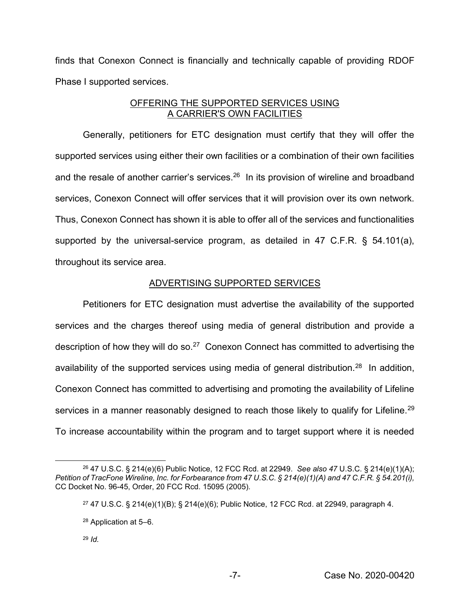finds that Conexon Connect is financially and technically capable of providing RDOF Phase I supported services.

# OFFERING THE SUPPORTED SERVICES USING A CARRIER'S OWN FACILITIES

Generally, petitioners for ETC designation must certify that they will offer the supported services using either their own facilities or a combination of their own facilities and the resale of another carrier's services. $26$  In its provision of wireline and broadband services, Conexon Connect will offer services that it will provision over its own network. Thus, Conexon Connect has shown it is able to offer all of the services and functionalities supported by the universal-service program, as detailed in 47 C.F.R. § 54.101(a), throughout its service area.

# ADVERTISING SUPPORTED SERVICES

Petitioners for ETC designation must advertise the availability of the supported services and the charges thereof using media of general distribution and provide a description of how they will do so.<sup>27</sup> Conexon Connect has committed to advertising the availability of the supported services using media of general distribution.<sup>28</sup> In addition, Conexon Connect has committed to advertising and promoting the availability of Lifeline services in a manner reasonably designed to reach those likely to qualify for Lifeline.<sup>29</sup> To increase accountability within the program and to target support where it is needed

 <sup>26</sup> 47 U.S.C. § 214(e)(6) Public Notice, 12 FCC Rcd. at 22949. *See also 47* U.S.C. § 214(e)(1)(A); *Petition of TracFone Wireline, Inc. for Forbearance from 47 U.S.C. § 214(e)(1)(A) and 47 C.F.R. § 54.201(i),*  CC Docket No. 96-45, Order, 20 FCC Rcd. 15095 (2005)*.*

<sup>&</sup>lt;sup>27</sup> 47 U.S.C. § 214(e)(1)(B); § 214(e)(6); Public Notice, 12 FCC Rcd. at 22949, paragraph 4.

<sup>28</sup> Application at 5–6.

<sup>29</sup> *Id.*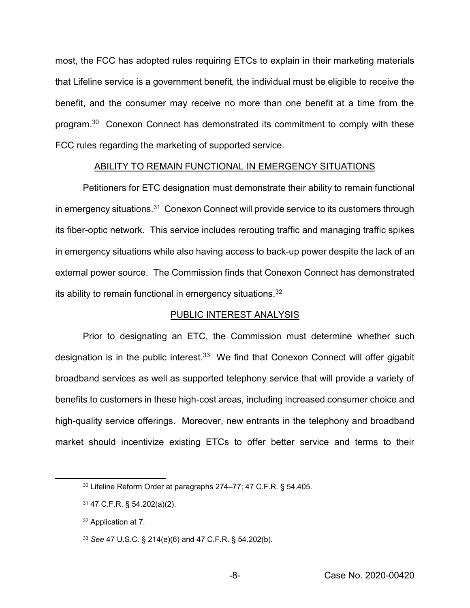most, the FCC has adopted rules requiring ETCs to explain in their marketing materials that Lifeline service is a government benefit, the individual must be eligible to receive the benefit, and the consumer may receive no more than one benefit at a time from the program.30 Conexon Connect has demonstrated its commitment to comply with these FCC rules regarding the marketing of supported service.

### ABILITY TO REMAIN FUNCTIONAL IN EMERGENCY SITUATIONS

Petitioners for ETC designation must demonstrate their ability to remain functional in emergency situations.<sup>31</sup> Conexon Connect will provide service to its customers through its fiber-optic network. This service includes rerouting traffic and managing traffic spikes in emergency situations while also having access to back-up power despite the lack of an external power source. The Commission finds that Conexon Connect has demonstrated its ability to remain functional in emergency situations.32

#### PUBLIC INTEREST ANALYSIS

Prior to designating an ETC, the Commission must determine whether such designation is in the public interest.<sup>33</sup> We find that Conexon Connect will offer gigabit broadband services as well as supported telephony service that will provide a variety of benefits to customers in these high-cost areas, including increased consumer choice and high-quality service offerings. Moreover, new entrants in the telephony and broadband market should incentivize existing ETCs to offer better service and terms to their

 <sup>30</sup> Lifeline Reform Order at paragraphs <sup>274</sup>–77; 47 C.F.R. § 54.405.

<sup>31</sup> 47 C.F.R. § 54.202(a)(2).

<sup>32</sup> Application at 7.

<sup>33</sup> *See* 47 U.S.C. § 214(e)(6) and 47 C.F.R. § 54.202(b).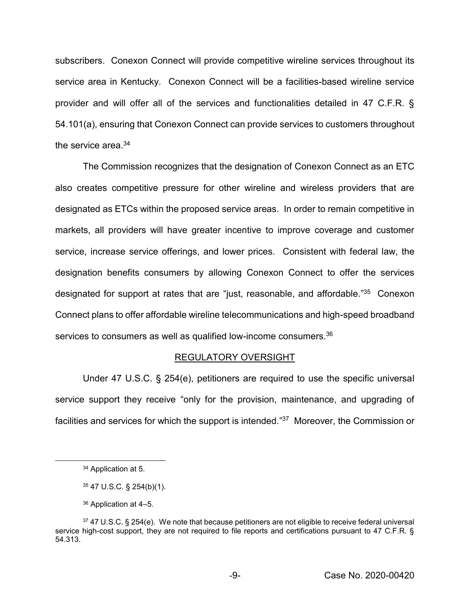subscribers. Conexon Connect will provide competitive wireline services throughout its service area in Kentucky. Conexon Connect will be a facilities-based wireline service provider and will offer all of the services and functionalities detailed in 47 C.F.R. § 54.101(a), ensuring that Conexon Connect can provide services to customers throughout the service area.<sup>34</sup>

The Commission recognizes that the designation of Conexon Connect as an ETC also creates competitive pressure for other wireline and wireless providers that are designated as ETCs within the proposed service areas. In order to remain competitive in markets, all providers will have greater incentive to improve coverage and customer service, increase service offerings, and lower prices. Consistent with federal law, the designation benefits consumers by allowing Conexon Connect to offer the services designated for support at rates that are "just, reasonable, and affordable."<sup>35</sup> Conexon Connect plans to offer affordable wireline telecommunications and high-speed broadband services to consumers as well as qualified low-income consumers.<sup>36</sup>

### REGULATORY OVERSIGHT

Under 47 U.S.C. § 254(e), petitioners are required to use the specific universal service support they receive "only for the provision, maintenance, and upgrading of facilities and services for which the support is intended."<sup>37</sup> Moreover, the Commission or

 <sup>34</sup> Application at 5.

<sup>35</sup> 47 U.S.C. § 254(b)(1).

<sup>36</sup> Application at 4–5.

<sup>37 47</sup> U.S.C. § 254(e). We note that because petitioners are not eligible to receive federal universal service high-cost support, they are not required to file reports and certifications pursuant to 47 C.F.R. § 54.313.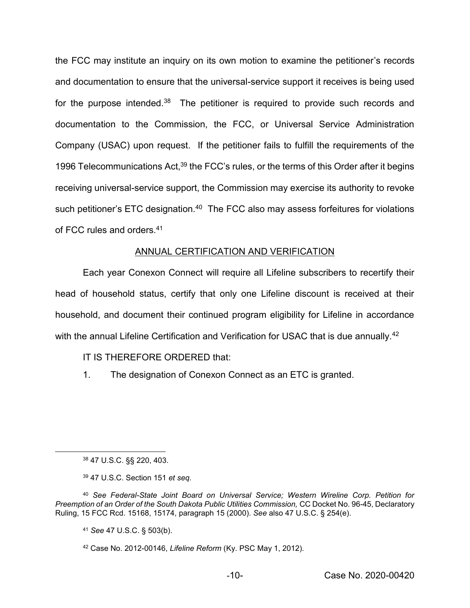the FCC may institute an inquiry on its own motion to examine the petitioner's records and documentation to ensure that the universal-service support it receives is being used for the purpose intended.<sup>38</sup> The petitioner is required to provide such records and documentation to the Commission, the FCC, or Universal Service Administration Company (USAC) upon request. If the petitioner fails to fulfill the requirements of the 1996 Telecommunications Act,<sup>39</sup> the FCC's rules, or the terms of this Order after it begins receiving universal-service support, the Commission may exercise its authority to revoke such petitioner's ETC designation.<sup>40</sup> The FCC also may assess forfeitures for violations of FCC rules and orders.41

# ANNUAL CERTIFICATION AND VERIFICATION

Each year Conexon Connect will require all Lifeline subscribers to recertify their head of household status, certify that only one Lifeline discount is received at their household, and document their continued program eligibility for Lifeline in accordance with the annual Lifeline Certification and Verification for USAC that is due annually.<sup>42</sup>

# IT IS THEREFORE ORDERED that:

1. The designation of Conexon Connect as an ETC is granted.

38 47 U.S.C. §§ 220, 403.

<sup>39</sup> 47 U.S.C. Section 151 *et seq.*

<sup>40</sup> *See Federal-State Joint Board on Universal Service; Western Wireline Corp. Petition for Preemption of an Order of the South Dakota Public Utilities Commission,* CC Docket No. 96-45, Declaratory Ruling, 15 FCC Rcd. 15168, 15174, paragraph 15 (2000). *See* also 47 U.S.C. § 254(e).

<sup>41</sup> *See* 47 U.S.C. § 503(b).

<sup>42</sup> Case No. 2012-00146, *Lifeline Reform* (Ky. PSC May 1, 2012).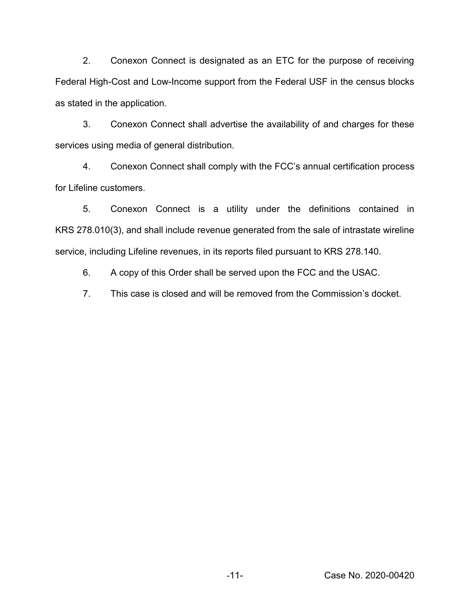2. Conexon Connect is designated as an ETC for the purpose of receiving Federal High-Cost and Low-Income support from the Federal USF in the census blocks as stated in the application.

3. Conexon Connect shall advertise the availability of and charges for these services using media of general distribution.

4. Conexon Connect shall comply with the FCC's annual certification process for Lifeline customers.

5. Conexon Connect is a utility under the definitions contained in KRS 278.010(3), and shall include revenue generated from the sale of intrastate wireline service, including Lifeline revenues, in its reports filed pursuant to KRS 278.140.

6. A copy of this Order shall be served upon the FCC and the USAC.

7. This case is closed and will be removed from the Commission's docket.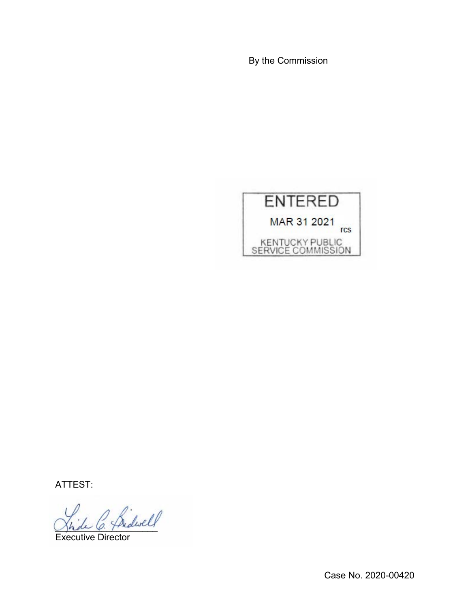By the Commission



ATTEST:

\_\_\_\_\_\_\_\_\_\_\_\_\_\_\_\_\_\_\_\_

Executive Director

Case No. 2020-00420